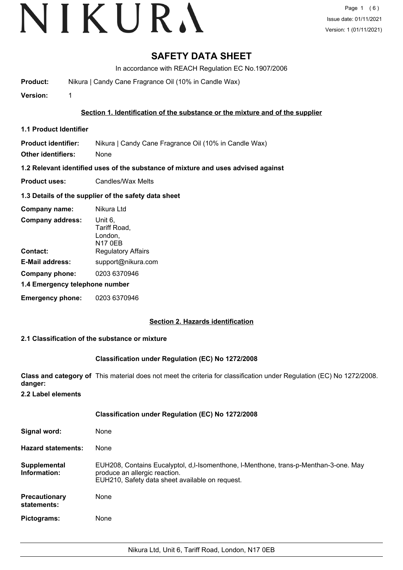# **SAFETY DATA SHEET**

In accordance with REACH Regulation EC No.1907/2006

**Product:** Nikura | Candy Cane Fragrance Oil (10% in Candle Wax)

**Version:** 1

**Section 1. Identification of the substance or the mixture and of the supplier**

**1.1 Product Identifier**

**Product identifier:** Nikura | Candy Cane Fragrance Oil (10% in Candle Wax)

**Other identifiers:** None

**1.2 Relevant identified uses of the substance of mixture and uses advised against**

**Product uses:** Candles/Wax Melts

# **1.3 Details of the supplier of the safety data sheet**

| Company name:                  | Nikura Ltd                                           |  |
|--------------------------------|------------------------------------------------------|--|
| <b>Company address:</b>        | Unit 6,<br>Tariff Road,<br>London,<br><b>N17 0EB</b> |  |
| Contact:                       | <b>Regulatory Affairs</b>                            |  |
| <b>E-Mail address:</b>         | support@nikura.com                                   |  |
| Company phone:                 | 0203 6370946                                         |  |
| 1.4 Emergency telephone number |                                                      |  |
| <b>Emergency phone:</b>        | 0203 6370946                                         |  |

# **Section 2. Hazards identification**

# **2.1 Classification of the substance or mixture**

# **Classification under Regulation (EC) No 1272/2008**

**Class and category of** This material does not meet the criteria for classification under Regulation (EC) No 1272/2008. **danger:**

**2.2 Label elements**

|                                     | <b>Classification under Regulation (EC) No 1272/2008</b>                                                                                                                  |
|-------------------------------------|---------------------------------------------------------------------------------------------------------------------------------------------------------------------------|
| Signal word:                        | None                                                                                                                                                                      |
| <b>Hazard statements:</b>           | None                                                                                                                                                                      |
| Supplemental<br>Information:        | EUH208, Contains Eucalyptol, d, I-Isomenthone, I-Menthone, trans-p-Menthan-3-one. May<br>produce an allergic reaction.<br>EUH210, Safety data sheet available on request. |
| <b>Precautionary</b><br>statements: | None                                                                                                                                                                      |
| Pictograms:                         | None                                                                                                                                                                      |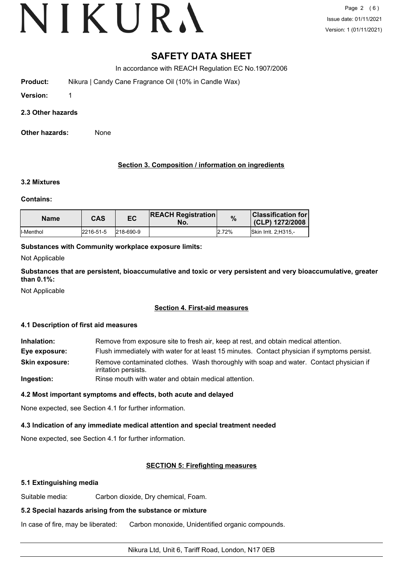# **SAFETY DATA SHEET**

In accordance with REACH Regulation EC No.1907/2006

**Product:** Nikura | Candy Cane Fragrance Oil (10% in Candle Wax)

**Version:** 1

**2.3 Other hazards**

**Other hazards:** None

# **Section 3. Composition / information on ingredients**

# **3.2 Mixtures**

**Contains:**

| <b>Name</b> | <b>CAS</b> | EC        | <b>REACH Registration</b><br>No. | %     | <b>Classification for l</b><br>(CLP) 1272/2008 |
|-------------|------------|-----------|----------------------------------|-------|------------------------------------------------|
| ll-Menthol  | 2216-51-5  | 218-690-9 |                                  | 2.72% | <b>Skin Irrit. 2:H315.-</b>                    |

# **Substances with Community workplace exposure limits:**

Not Applicable

**Substances that are persistent, bioaccumulative and toxic or very persistent and very bioaccumulative, greater than 0.1%:**

Not Applicable

# **Section 4. First-aid measures**

# **4.1 Description of first aid measures**

**Inhalation:** Remove from exposure site to fresh air, keep at rest, and obtain medical attention. **Eye exposure:** Flush immediately with water for at least 15 minutes. Contact physician if symptoms persist. Remove contaminated clothes. Wash thoroughly with soap and water. Contact physician if irritation persists. **Skin exposure: Ingestion:** Rinse mouth with water and obtain medical attention.

# **4.2 Most important symptoms and effects, both acute and delayed**

None expected, see Section 4.1 for further information.

# **4.3 Indication of any immediate medical attention and special treatment needed**

None expected, see Section 4.1 for further information.

# **SECTION 5: Firefighting measures**

# **5.1 Extinguishing media**

Suitable media: Carbon dioxide, Dry chemical, Foam.

# **5.2 Special hazards arising from the substance or mixture**

In case of fire, may be liberated: Carbon monoxide, Unidentified organic compounds.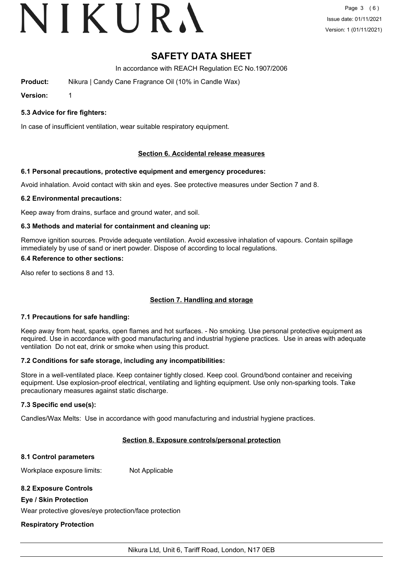# VIKURA

# **SAFETY DATA SHEET**

In accordance with REACH Regulation EC No.1907/2006

**Product:** Nikura | Candy Cane Fragrance Oil (10% in Candle Wax)

**Version:** 1

# **5.3 Advice for fire fighters:**

In case of insufficient ventilation, wear suitable respiratory equipment.

# **Section 6. Accidental release measures**

# **6.1 Personal precautions, protective equipment and emergency procedures:**

Avoid inhalation. Avoid contact with skin and eyes. See protective measures under Section 7 and 8.

# **6.2 Environmental precautions:**

Keep away from drains, surface and ground water, and soil.

# **6.3 Methods and material for containment and cleaning up:**

Remove ignition sources. Provide adequate ventilation. Avoid excessive inhalation of vapours. Contain spillage immediately by use of sand or inert powder. Dispose of according to local regulations.

# **6.4 Reference to other sections:**

Also refer to sections 8 and 13.

# **Section 7. Handling and storage**

# **7.1 Precautions for safe handling:**

Keep away from heat, sparks, open flames and hot surfaces. - No smoking. Use personal protective equipment as required. Use in accordance with good manufacturing and industrial hygiene practices. Use in areas with adequate ventilation Do not eat, drink or smoke when using this product.

# **7.2 Conditions for safe storage, including any incompatibilities:**

Store in a well-ventilated place. Keep container tightly closed. Keep cool. Ground/bond container and receiving equipment. Use explosion-proof electrical, ventilating and lighting equipment. Use only non-sparking tools. Take precautionary measures against static discharge.

# **7.3 Specific end use(s):**

Candles/Wax Melts: Use in accordance with good manufacturing and industrial hygiene practices.

# **Section 8. Exposure controls/personal protection**

# **8.1 Control parameters**

Workplace exposure limits: Not Applicable

# **8.2 Exposure Controls**

# **Eye / Skin Protection**

Wear protective gloves/eye protection/face protection

# **Respiratory Protection**

Nikura Ltd, Unit 6, Tariff Road, London, N17 0EB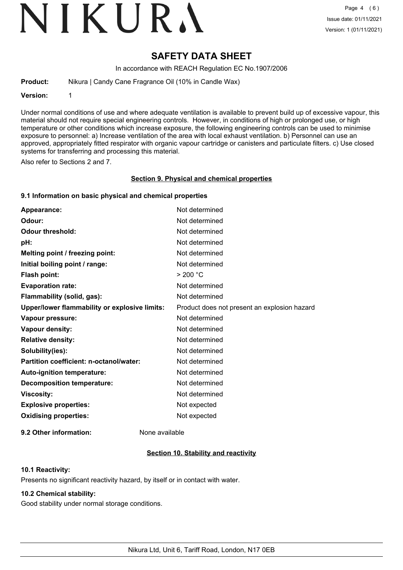# VIKURA

# **SAFETY DATA SHEET**

In accordance with REACH Regulation EC No.1907/2006

**Product:** Nikura | Candy Cane Fragrance Oil (10% in Candle Wax)

**Version:** 1

Under normal conditions of use and where adequate ventilation is available to prevent build up of excessive vapour, this material should not require special engineering controls. However, in conditions of high or prolonged use, or high temperature or other conditions which increase exposure, the following engineering controls can be used to minimise exposure to personnel: a) Increase ventilation of the area with local exhaust ventilation. b) Personnel can use an approved, appropriately fitted respirator with organic vapour cartridge or canisters and particulate filters. c) Use closed systems for transferring and processing this material.

Also refer to Sections 2 and 7.

#### **Section 9. Physical and chemical properties**

# **9.1 Information on basic physical and chemical properties**

| Appearance:                                   | Not determined                               |
|-----------------------------------------------|----------------------------------------------|
| Odour:                                        | Not determined                               |
| <b>Odour threshold:</b>                       | Not determined                               |
| pH:                                           | Not determined                               |
| Melting point / freezing point:               | Not determined                               |
| Initial boiling point / range:                | Not determined                               |
| <b>Flash point:</b>                           | > 200 °C                                     |
| <b>Evaporation rate:</b>                      | Not determined                               |
| Flammability (solid, gas):                    | Not determined                               |
| Upper/lower flammability or explosive limits: | Product does not present an explosion hazard |
| Vapour pressure:                              | Not determined                               |
| Vapour density:                               | Not determined                               |
| <b>Relative density:</b>                      | Not determined                               |
| Solubility(ies):                              | Not determined                               |
| Partition coefficient: n-octanol/water:       | Not determined                               |
| Auto-ignition temperature:                    | Not determined                               |
| <b>Decomposition temperature:</b>             | Not determined                               |
| <b>Viscosity:</b>                             | Not determined                               |
| <b>Explosive properties:</b>                  | Not expected                                 |
| <b>Oxidising properties:</b>                  | Not expected                                 |
|                                               |                                              |

**9.2 Other information:** None available

# **Section 10. Stability and reactivity**

# **10.1 Reactivity:**

Presents no significant reactivity hazard, by itself or in contact with water.

# **10.2 Chemical stability:**

Good stability under normal storage conditions.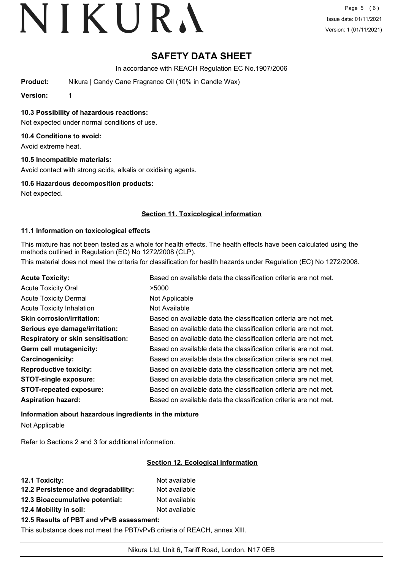# **SAFETY DATA SHEET**

In accordance with REACH Regulation EC No.1907/2006

**Product:** Nikura | Candy Cane Fragrance Oil (10% in Candle Wax)

**Version:** 1

**10.3 Possibility of hazardous reactions:**

Not expected under normal conditions of use.

# **10.4 Conditions to avoid:**

Avoid extreme heat.

# **10.5 Incompatible materials:**

Avoid contact with strong acids, alkalis or oxidising agents.

# **10.6 Hazardous decomposition products:**

Not expected.

# **Section 11. Toxicological information**

# **11.1 Information on toxicological effects**

This mixture has not been tested as a whole for health effects. The health effects have been calculated using the methods outlined in Regulation (EC) No 1272/2008 (CLP).

This material does not meet the criteria for classification for health hazards under Regulation (EC) No 1272/2008.

| <b>Acute Toxicity:</b>                    | Based on available data the classification criteria are not met. |
|-------------------------------------------|------------------------------------------------------------------|
| <b>Acute Toxicity Oral</b>                | >5000                                                            |
| <b>Acute Toxicity Dermal</b>              | Not Applicable                                                   |
| <b>Acute Toxicity Inhalation</b>          | Not Available                                                    |
| <b>Skin corrosion/irritation:</b>         | Based on available data the classification criteria are not met. |
| Serious eye damage/irritation:            | Based on available data the classification criteria are not met. |
| <b>Respiratory or skin sensitisation:</b> | Based on available data the classification criteria are not met. |
| Germ cell mutagenicity:                   | Based on available data the classification criteria are not met. |
| Carcinogenicity:                          | Based on available data the classification criteria are not met. |
| <b>Reproductive toxicity:</b>             | Based on available data the classification criteria are not met. |
| <b>STOT-single exposure:</b>              | Based on available data the classification criteria are not met. |
| <b>STOT-repeated exposure:</b>            | Based on available data the classification criteria are not met. |
| <b>Aspiration hazard:</b>                 | Based on available data the classification criteria are not met. |

**Information about hazardous ingredients in the mixture** Not Applicable

Refer to Sections 2 and 3 for additional information.

# **Section 12. Ecological information**

| <b>12.1 Toxicity:</b>               | Not available |
|-------------------------------------|---------------|
| 12.2 Persistence and degradability: | Not available |
| 12.3 Bioaccumulative potential:     | Not available |
| 12.4 Mobility in soil:              | Not available |
|                                     |               |

# **12.5 Results of PBT and vPvB assessment:**

This substance does not meet the PBT/vPvB criteria of REACH, annex XIII.